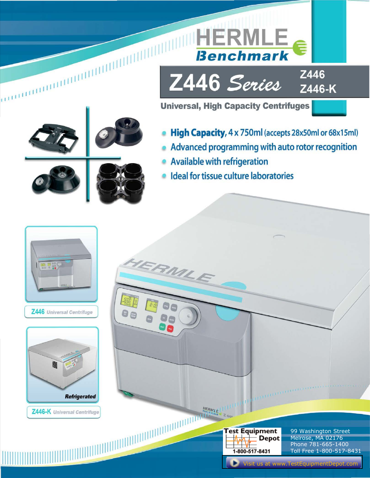

<u>HERMLE</u>

**Benchmark** 

Z446

[Visit us at www.TestEquipmentDepot.com](http://www.testequipmentdepot.com/index.htm)

1-800-517-8431

Toll Free 1-800-517-8431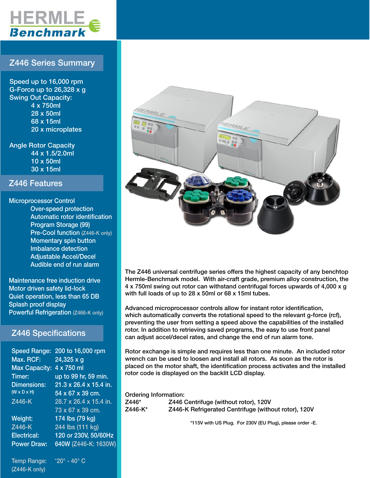

# Z446 Series Summary

Speed up to 16,000 rpm G-Force up to 26,328 x g Swing Out Capacity: 4 x 750ml 28 x 50ml 68 x 15ml 20 x microplates

Angle Rotor Capacity 44 x 1.5/2.0ml 10 x 50ml 30 x 15ml

### Z446 Features

Microprocessor Control Over-speed protection Automatic rotor identification Program Storage (99) Pre-Cool function (Z446-K only) Momentary spin button Imbalance detection Adjustable Accel/Decel Audible end of run alarm

Maintenance free induction drive Motor driven safety lid-lock Quiet operation, less than 65 DB Splash proof display Powerful Refrigeration (Z466-K only)

## Z446 Specifications

| <b>Speed Range:</b>     | 200 to 16,000 rpm      |
|-------------------------|------------------------|
| Max. RCF:               | $24,325 \times g$      |
| <b>Max Capacity:</b>    | 4 x 750 ml             |
| Timer:                  | up to 99 hr, 59 min.   |
| <b>Dimensions:</b>      | 21.3 x 26.4 x 15.4 in. |
| $(W \times D \times H)$ | 54 x 67 x 39 cm.       |
| Z446-K                  | 28.7 x 26.4 x 15.4 in. |
|                         | 73 x 67 x 39 cm.       |
| Weight:                 | 174 lbs (79 kg)        |
| Z446-K                  | 244 lbs (111 kg)       |
| <b>Electrical:</b>      | 120 or 230V, 50/60Hz   |
| <b>Power Draw:</b>      | 640W (Z446-K: 1630W)   |
|                         |                        |
|                         |                        |

Temp Range:  $-20^\circ$  - 40 $^\circ$  C (Z446-K only)



The Z446 universal centrifuge series offers the highest capacity of any benchtop Hermle-Benchmark model. With air-craft grade, premium alloy construction, the 4 x 750ml swing out rotor can withstand centrifugal forces upwards of 4,000 x g with full loads of up to 28 x 50ml or 68 x 15ml tubes.

Advanced microprocessor controls allow for instant rotor identification, which automatically converts the rotational speed to the relevant g-force (rcf), preventing the user from setting a speed above the capabilities of the installed rotor. In addition to retrieving saved programs, the easy to use front panel can adjust accel/decel rates, and change the end of run alarm tone.

Rotor exchange is simple and requires less than one minute. An included rotor wrench can be used to loosen and install all rotors. As soon as the rotor is placed on the motor shaft, the identification process activates and the installed rotor code is displayed on the backlit LCD display.

Ordering Information:

| Z446*   | Z446 Centrifuge (without rotor), 120V                |
|---------|------------------------------------------------------|
| Z446-K* | Z446-K Refrigerated Centrifuge (without rotor), 120V |

\*115V with US Plug. For 230V (EU Plug), please order -E.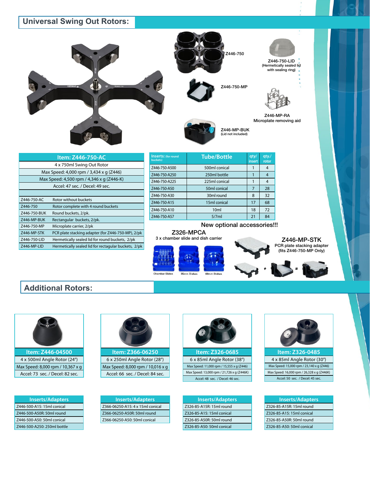# **Universal Swing Out Rotors:**







Z446-750-LID (Hermetically sealed lid with sealing ring)



Z446-MP-RA Microplate removing aid

| Item: Z446-750-AC |                                                      |  |
|-------------------|------------------------------------------------------|--|
|                   | 4 x 750ml Swing Out Rotor                            |  |
|                   | Max Speed: 4,000 rpm / 3,434 x q (Z446)              |  |
|                   | Max Speed: 4,500 rpm / 4,346 x g (Z446-K)            |  |
|                   | Accel: 47 sec. / Decel: 49 sec.                      |  |
|                   |                                                      |  |
| Z446-750-AC       | Rotor without buckets                                |  |
| Z446-750          | Rotor complete with 4 round buckets                  |  |
| Z446-750-BUK      | Round buckets, 2/pk.                                 |  |
| Z446-MP-BUK       | Rectangular buckets, 2/pk.                           |  |
| Z446-750-MP       | Microplate carrier, 2/pk                             |  |
| Z446-MP-STK       | PCR plate stacking adapter (for Z446-750-MP), 2/pk   |  |
| Z446-750-LID      | Hermetically sealed lid for round buckets, 2/pk      |  |
| Z446-MP-LID       | Hermetically sealed lid for rectagular buckets, 2/pk |  |
|                   |                                                      |  |

| <b>Inserts:</b> (for round<br>buckets) | <b>Tube/Bottle</b> | qty/<br>insert | qty./<br>rotor |
|----------------------------------------|--------------------|----------------|----------------|
| Z446-750-A500                          | 500ml conical      |                | 4              |
| Z446-750-A250                          | 250ml bottle       |                |                |
| Z446-750-A225                          | 225ml conical      |                | 4              |
| Z446-750-A50                           | 50ml conical       | 7              | 28             |
| Z446-750-A30                           | 30ml round         | 8              | 32             |
| Z446-750-A15                           | 15ml conical       | 17             | 68             |
| Z446-750-A10                           | 10 <sub>ml</sub>   | 18             | 72             |
| Z446-750-A57                           | 5/7ml              | 21             | 84             |

New optional accessories!!!

Z446-MP-BUK (Lid not included)

### Z326-MPCA 3 x chamber slide and dish carrier





Z446-MP-STK PCR plate stacking adapter (fits Z446-750-MP Only)

## **Additional Rotors:**



**Item: Z446-04500** 4 x 500ml Angle Rotor (24°) Max Speed: 8,000 rpm / 10,367 x g Accel: 73 sec. / Decel: 82 sec.

| <b>Inserts/Adapters</b>     |
|-----------------------------|
| Z446-500-A15: 15ml conical  |
| Z446-500-A50R: 50ml round   |
| Z446-500-A50: 50ml conical  |
| Z446-500-A250: 250ml bottle |



6 x 250ml Angle Rotor (28°) Max Speed: 8,000 rpm / 10,016 x g Accel: 66 sec. / Decel: 84 sec.

**Inserts/Adapters** Z366-06250-A15: 4 x 15ml conical Z366-06250-A50R: 50ml round Z366-06250-A50: 50ml conical



**Item: Z326-0685** 6 x 85ml Angle Rotor (38°) Max Speed: 11,000 rpm / 15,555 x g (Z446) Max Speed: 13,000 rpm / 21,726 x g (Z446K) Accel: 48 sec. / Decel: 46 sec.

| <b>Inserts/Adapters</b>   |
|---------------------------|
| Z326-85-A15R: 15ml round  |
| Z326-85-A15: 15ml conical |
| Z326-85-A50R: 50ml round  |
| Z326-85-A50: 50ml conical |

**Item: Z326-0485** 4 x 85ml Angle Rotor (30°) Max Speed: 15,000 rpm / 23,140 x g (Z446) Max Speed: 16,000 rpm / 26,328 x g (Z446K) Accel: 50 sec. / Decel: 45 sec.

| <b>Inserts/Adapters</b>   |  |  |
|---------------------------|--|--|
| Z326-85-A15R: 15ml round  |  |  |
| Z326-85-A15: 15ml conical |  |  |
| Z326-85-A50R: 50ml round  |  |  |
| Z326-85-A50: 50ml conical |  |  |